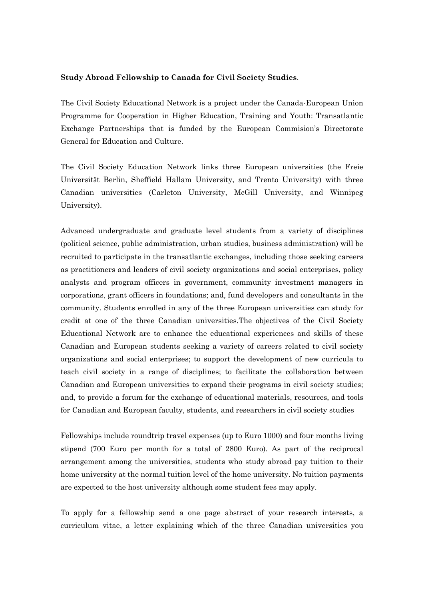## **Study Abroad Fellowship to Canada for Civil Society Studies**.

The Civil Society Educational Network is a project under the Canada-European Union Programme for Cooperation in Higher Education, Training and Youth: Transatlantic Exchange Partnerships that is funded by the European Commision's Directorate General for Education and Culture.

The Civil Society Education Network links three European universities (the Freie Universität Berlin, Sheffield Hallam University, and Trento University) with three Canadian universities (Carleton University, McGill University, and Winnipeg University).

Advanced undergraduate and graduate level students from a variety of disciplines (political science, public administration, urban studies, business administration) will be recruited to participate in the transatlantic exchanges, including those seeking careers as practitioners and leaders of civil society organizations and social enterprises, policy analysts and program officers in government, community investment managers in corporations, grant officers in foundations; and, fund developers and consultants in the community. Students enrolled in any of the three European universities can study for credit at one of the three Canadian universities.The objectives of the Civil Society Educational Network are to enhance the educational experiences and skills of these Canadian and European students seeking a variety of careers related to civil society organizations and social enterprises; to support the development of new curricula to teach civil society in a range of disciplines; to facilitate the collaboration between Canadian and European universities to expand their programs in civil society studies; and, to provide a forum for the exchange of educational materials, resources, and tools for Canadian and European faculty, students, and researchers in civil society studies

Fellowships include roundtrip travel expenses (up to Euro 1000) and four months living stipend (700 Euro per month for a total of 2800 Euro). As part of the reciprocal arrangement among the universities, students who study abroad pay tuition to their home university at the normal tuition level of the home university. No tuition payments are expected to the host university although some student fees may apply.

To apply for a fellowship send a one page abstract of your research interests, a curriculum vitae, a letter explaining which of the three Canadian universities you